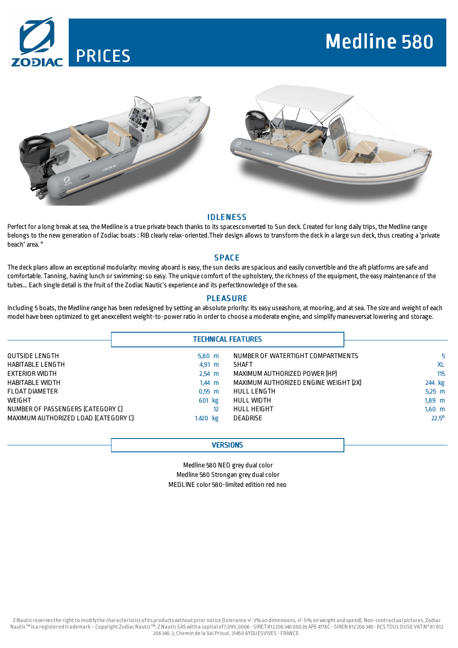

# Medline 580



# **IDLENESS**

Perfect for a long break at sea, the Medline is a true private beach thanks to its spacesconverted to Sun deck. Created for long daily trips, the Medline range belongs to the new generation of Zodiac boats : RIB clearly relax-oriented.Their design allows to transform the deck in a large sun deck, thus creating a 'private beach' area. "

## SPACE

The deck plans allow an exceptional modularity: moving aboard is easy, the sun decks are spacious and easily convertible and the aft platforms are safe and comfortable. Tanning, having lunch orswimming:so easy. The unique comfort of the upholstery, the richness of the equipment, the easy maintenance of the tubes... Each single detail is the fruit of the Zodiac Nautic's experience and its perfectknowledge of the sea.

# **PLEASURE**

Including 5 boats, theMedline range has been redesigned by setting an absolute priority: its easy useashore, at mooring, and atsea. The size and weight of each model have been optimized to get anexcellentweight-to-power ratio in order to choose a moderate engine, and simplify maneuversatlowering and storage.

|                                      |                  | <b>TECHNICAL FEATURES</b>             |                |
|--------------------------------------|------------------|---------------------------------------|----------------|
| OUTSIDE LENGTH                       | $5,80$ m         | NUMBER OF WATERTIGHT COMPARTMENTS     | 5              |
| HABITABLE LENGTH                     | $4,91 \, m$      | <b>SHAFT</b>                          | <b>XL</b>      |
| EXTERIOR WIDTH                       | $2,54 \, m$      | MAXIMUM AUTHORIZED POWER [HP]         | 115            |
| HABITABLE WIDTH                      | $1.44 \text{ m}$ | MAXIMUM AUTHORIZED ENGINE WEIGHT [2X] | 244 kg         |
| <b>FLOAT DIAMETER</b>                | $0,55$ m         | <b>HULL LENGTH</b>                    | $5.25$ m       |
| <b>WEIGHT</b>                        | 601 kg           | HULL WIDTH                            | $1,89$ m       |
| NUMBER OF PASSENGERS (CATEGORY C)    | 12               | <b>HULL HEIGHT</b>                    | $1,60$ m       |
| MAXIMUM AUTHORIZED LOAD (CATEGORY C) | 1.420 kg         | DEADRISE                              | $22.5^{\circ}$ |

## **VERSIONS**

Medline 580 NEO grey dual color Medline 580 Strongan grey dual color MEDLINE color 580-limited edition red neo

Z Nauticreservesthe rightto modifythe characteristics ofits productswithout prior notice (tolerance +/-3% on dimensions,+/- 5% onweight and speed). Non-contractual pictures. Zodiac Nautic™is a registered trademark–Copyright ZodiacNautic™. Z Nautic SAS with a capital of7,095,000€ - SIRET812206 340 000 26 APE 4778C - SIREN 812206 340 - RCS TOULOUSE VATN°81 812 206 340.2, Chemin de la Val Priout.31450AYGUESVIVES - FRANCE.